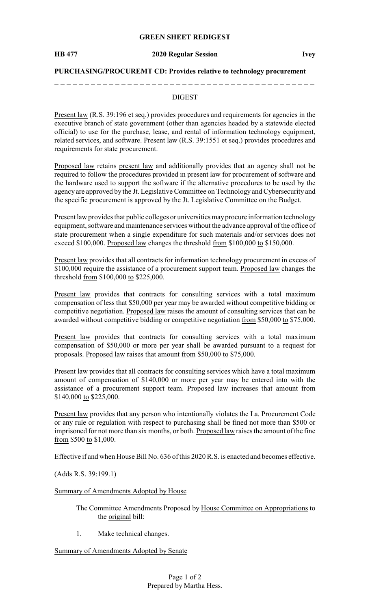## **GREEN SHEET REDIGEST**

### **PURCHASING/PROCUREMT CD: Provides relative to technology procurement**

## DIGEST

Present law (R.S. 39:196 et seq.) provides procedures and requirements for agencies in the executive branch of state government (other than agencies headed by a statewide elected official) to use for the purchase, lease, and rental of information technology equipment, related services, and software. Present law (R.S. 39:1551 et seq.) provides procedures and requirements for state procurement.

Proposed law retains present law and additionally provides that an agency shall not be required to follow the procedures provided in present law for procurement of software and the hardware used to support the software if the alternative procedures to be used by the agency are approved by the Jt. Legislative Committee on Technology and Cybersecurity and the specific procurement is approved by the Jt. Legislative Committee on the Budget.

Present law provides that public colleges or universities mayprocure information technology equipment, software and maintenance services without the advance approval of the office of state procurement when a single expenditure for such materials and/or services does not exceed \$100,000. Proposed law changes the threshold from \$100,000 to \$150,000.

Present law provides that all contracts for information technology procurement in excess of \$100,000 require the assistance of a procurement support team. Proposed law changes the threshold from \$100,000 to \$225,000.

Present law provides that contracts for consulting services with a total maximum compensation of less that \$50,000 per year may be awarded without competitive bidding or competitive negotiation. Proposed law raises the amount of consulting services that can be awarded without competitive bidding or competitive negotiation from \$50,000 to \$75,000.

Present law provides that contracts for consulting services with a total maximum compensation of \$50,000 or more per year shall be awarded pursuant to a request for proposals. Proposed law raises that amount from \$50,000 to \$75,000.

Present law provides that all contracts for consulting services which have a total maximum amount of compensation of \$140,000 or more per year may be entered into with the assistance of a procurement support team. Proposed law increases that amount from \$140,000 to \$225,000.

Present law provides that any person who intentionally violates the La. Procurement Code or any rule or regulation with respect to purchasing shall be fined not more than \$500 or imprisoned for not more than six months, or both. Proposed law raises the amount of the fine from \$500 to \$1,000.

Effective if and when House Bill No. 636 of this 2020 R.S. is enacted and becomes effective.

(Adds R.S. 39:199.1)

Summary of Amendments Adopted by House

The Committee Amendments Proposed by House Committee on Appropriations to the original bill:

1. Make technical changes.

Summary of Amendments Adopted by Senate